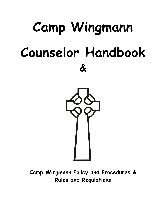# **Camp Wingmann Counselor Handbook &**



**Camp Wingmann Policy and Procedures & Rules and Regulations**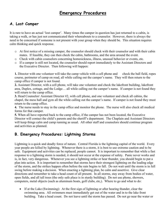# **Emergency Procedures**

# **A. Lost Camper**

It is rare to have an actual 'lost camper'. Many times the camper in question has just returned to a cabin, is taking a walk, or has just not communicated their whereabouts to a counselor. However, there is always the need to be concerned if someone is not present with your group when they should be. This situation requires calm thinking and quick response.

- o At first notice of a missing camper, the counselor should check with their counselor and with their cabin mates. If feasible, they can then check the cabin, bathrooms, and the area around the event.
- o Check with cabin counselors concerning homesickness, illness, unusual behavior or events, etc.
- o If a camper is still not located, the counselor should report immediately to the Assistant Directors and the Executive Director. Then following will happen:

**1.** Director with one volunteer will take the camp vehicle with a cell phone and check the ball field, ropes course, perimeter of camp on road, all while calling out the camper's name. They will then return to the camp office if camper is not found.

**2.** Assistant Director, with a cell phone, will take one volunteer and check the lakefront building, lakefront area, Duplex, cottage, and the Lodge… all while calling out the camper's name. If camper is not found they will return to the camp office.

**3.** Head Counselor/ Assistant Director #2, with cell phone, and one volunteer and check all cabins, the chapel, the mess hall and gym all the while calling out the camper's name. If camper is not found they must return to the camp office.

**4.** The nurse needs to stay in the camp office and monitor the phone. The nurse will also check all medical forms for that camper.

**5.** When all have reported back to the camp office, if the camper has not been located, the Executive Director will contact the child's parents and the sheriff's department. The Chaplain and Assistant Directors will keep things calm and camp running as usual. All other staff and counselors should continue program and activities as planned.

# **B. Emergency Procedures: Lightning Storms**

Lightning is a quick and deadly force of nature. Central Florida is the lightning capital of the world. Every year people are killed by lightning. Whenever there is a storm, it is best to use extreme caution and to be safe. Equipment and activities can be replaced, people cannot. It is important to remember that while a fast response to a lightning storm is needed, it should not occur at the expense of safety. Panic never works and is, in fact, very dangerous. Whenever you see a lightning strike or hear thunder, you should begin to put a plan into action. It is important to remember that storms have their strongest lightning on the leading edge of the storm, and the strikes happen often before the rain begins to fall. Do not wait until the storm is in full swing before making a decision. When enacting a lightning plan, be calm and assertive. Give clear directions and remember to take a head count of all present. In all storms, stay away from bodies of water, open fields, and all tall trees (the only safe place is in sturdy building). Do not use phone, showers, computers, metal objects (such as aluminum boats, golf clubs, etc,). Where to go and what to do:

• If at the Lake (Swimming): At the first sign of lightning or after hearing thunder, clear the swimming area. All swimmers must immediately get out of the water and in to the lake front building. Take a head count. Do not leave until the storm has passed. Do not go near the water or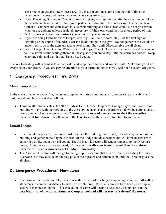use a phone unless absolutely necessary. If the storm continues for a long period of time the Directors will come and instruct you and where you are to go.

- If you Kayaking, Sailing, or Canoeing: At the first sight of lightning or after hearing thunder, blow the whistle to clear the lake. Use sign of paddle held straight in the air as a sign to clear the lake. Gather all campers and counselors in lake front building and take a head count. Do not go near the water or use a phone unless absolutely necessary. If the storm continues for a long period of time the Directors will come and instruct you and where you are to go.
- If you are doing Field activities (Ropes, Archery, Ball Field, Sports, etc.): At the first sign of lightning or the sound of thunder, clear the fields and go to the gym. Do not gather in the woods or under trees… go to the gym and take a head count. Stay until Directors give the all clear.
- Louttit Lodge, Gym, Cabins, Water Front Buildings, Chapel: These are the 'safe places' we can go to. If a storm occurs while gathered in these places you are to stay until the storm has passed. Keep everyone calm and wait it out. Take a head count.

The key to dealing with storms is to remain calm and keep the campers and yourself safe. Make sure you have everyone in your group. If you are paying attention to your surroundings then you will not be caught off guard.

# **C. Emergency Procedures: Fire Drills**

#### Main Camp Area:

In the event of an emergency fire, the main camp bell will ring continuously. Upon hearing this, cabins and buildings should be evacuated as follows:

• Those in all Cabins, Yates Hall (the ol' Mess Hall), Chapel, Duplexes, Cottage, Gym, and Lake Front building will go, with their groups, to the cross by the lake. Have the groups sit down in a circle, take a head count and keep everyone calm. **Counselors are to send one runner to alert the executive director of fire alarm.** Stay there until the Directors give the all clear to return to your area.

#### Louttit Lodge:

- If the fire alarm goes off, everyone must evacuate the building immediately. Lead everyone out of the building and gather at the flag pole in front of the Lodge and do a head count. All kitchen staff are to gather in a circle, again do head count. The Assistant Director will send a runner to to the Director's house. Again, once all are evacuated, **If the executive director is not present then the assistant director, will send a runner to get him/her immediately.**
- The Assistant Director will then go to each group to ascertain that all are present, including the nurse. Everyone is to stay outside by the flag pole in their groups and remain calm until the Director gives the all clear.

# **D. Emergency Procedures: Hurricanes**

• If a hurricane is threatening Florida and is within 2 days of reaching Camp Wingmann, the staff will call all parents to come immediately to pick up their children. When all campers have been picked up, all staff will then be sent home. This evacuation of camp will occur no less than 24 hours prior to the possible arrival of the storm. **Summer Camp cannot and will not stay to 'ride out' the storm.**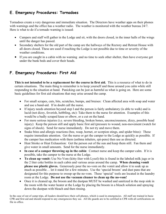# **E. Emergency Procedures: Tornadoes**

Tornadoes create a very dangerous and immediate situation. The Directors have weather apps on their phones with warnings and the office has a weather radio. The weather is monitored with the weather bureau 24/7. Here is what to do if a tornado warning is issued:

- Campers and staff will gather in the Lodge and sit, with the doors closed, in the inner halls of the wings until the danger has passed.
- Secondary shelters for the old part of the camp are the hallways of the Rectory and Retreat House with all doors closed. These are used if reaching the Lodge is not possible due to time or severity of the weather conditions.
- If you are caught in a cabin with no warning and no time to seek other shelter, then have everyone get under the bunk beds and cover their heads.

# **F. Emergency Procedures: First Aid**

**This is not intended to be a replacement for the course in first aid.** This is a resource of what to do in certain situations. The main thing to remember is to keep yourself and those around you calm while still responding to the situation at hand. Panicking can be just as harmful as what is going on. Here are some basic guidelines for first aid situations that may arise around the camp.

- For small scrapes, cuts, bits, scratches, bumps, and bruises: Clean affected area with soap and water and use a band-aid. If in doubt call the nurse.
- If injury needs attention beyond step I and the person is fairly ambulatory (is able to walk) and is lucid (not dizzy, feverish, hobbling, etc): Take them to the nurse for attention. Examples of this would be a badly scraped knee or elbow, or a cut on the hand.
- For more serious injuries (i.e. severe bleeding, broken bones, unconsciousness, dizzy, possible head injury): Keep the person still and apply basic first aid (pressure to wound, non-movement (watch for signs of shock). Send for nurse immediately. Do not try and move them.
- Snake bites and allergic reactions (bee, wasp, hornet, or scorpion stings, and spider bites): These require immediate attention. Get the nurse or get the camper to the Lodge as quickly as possible. If the camper has medication with them (asthma inhalers, epi-pens) then use as directed.
- Heat Stroke or Heat Exhaustion: Get the person out of the sun and keep them still. Fan them and give water in small amounts. Send for the nurse immediately.
- **In case of a camper throwing up in the cabin**: Contact nurse and keep the camper calm. If it is possible, take the camper to the nurse at the Lodge.
- **To clean up vomit:** Use No-Vom (kitty-liter with Lysol) this is found in the labeled milk jugs or in the 2 liter coke bottles in each cabin and various areas around the camp. **When cleaning vomit please use plastic gloves.** Generously pour the no-vom on the vomit and allow it to soak up as much as possible… let it stand for a few minutes. Use the 'special broom' and dust pans that are designated for this purpose to sweep up the no-vom. These 'special' tools are located in the laundry room at the Lodge. **Do not use the vacuum cleaner to clean up the no-vom!**
- Once it is cleaned up, the broom and the dustpan MUST be washed and sanitized in the mop sink in the room with the water heater at the Lodge by placing the broom in a bleach solution and spraying down the dustpan with bleach and then rinsing.

In the case of out of camp trips, all leaders should have their cell phones, which is used in emergencies. All staff are trained in basic CPR and first aid and should respond to any emergencies they see. All life guards are to be certified in CPR with all certifications on file in office.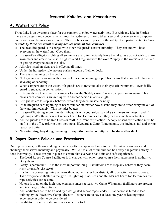# **General Policies and Procedures**

# **A. Waterfront Policy**

Trout Lake is an awesome place for our campers to enjoy water activities. But with any lake in Florida there are dangers and concerns which must be addressed. It only takes a second for someone to disappear under water and be in serious trouble. These policies are in place for the safety of all participants. *Failure to abide by these can result in being banned from all lake activities*.

- o The head life guard is in charge, with other life guards next in authority. They can and will boss everyone at the waterfront. Obey them.
- o In case of an alligator sighting all swimmers are to immediately leave the lake. We do not wish to alarm swimmers and create panic so if sighted alert lifeguard with the word "puppy in the water" and then aid in getting everyone out of the lake.
- o All rules listed on signs are in effect at all times.
- o Under the horseplay rule, no one pushes anyone off either dock.
- o There is no running on the docks.
- o No kayaking or canoeing with a counselor accompanying group. This means that a counselor has to be kayaking or canoeing.
- o When campers are in the water, life guards are to never to take their eyes off swimmers… even if life guard is engaged in conversation.
- o Life guards are to ensure that campers follow the 'buddy system' when campers are to swim. This means each camper is swimming with another person in arms length.
- o Life guards are to stop any behavior which they deem unsafe or risky.
- o If the lifeguard sees lightning or hears thunder, no matter how distant, they are to order everyone out of the water immediately. This includes boaters.
- o In case of lightning and/or thunder lifeguards with counselors can take swimmers to the gym and if lightning and/or thunder is not seen or heard for 15 minutes then they can resume lake activates.
- o All life guards are to be Red Cross or YMCA current certification. A copy of said certification must be on file in the office prior to them serving as lifeguard at Camp Wingmann… this includes fall and spring season activities.
- o **No swimming, kayaking, canoeing or any other water activity is to be done after dark.**

# **B. Ropes Course Policies and Procedures**

Our ropes courses, both low and high elements, offer campers a chance to learn the art of team work and to challenge themselves mentally and physically. While it is a lot of fun this can be a very dangerous activity if done incorrectly. These are put in place to ensure that everyone has a fun and safe experience.

- o The Lead Ropes Course Facilitator is in charge, with other ropes course facilitators next in authority. Obey them.
- o Safety is paramount… it is the most important thing. Facilitators are to stop any behavior they deem risky or unsafe. *Be alert!*
- o If a facilitator sees lightning or hears thunder, no matter how distant, all rope activities are to cease. Take everyone to shelter in the gym. If lightning is not seen and thunder not heard for 15 minutes then rope activities can resume.
- o No one is to go on the high rope elements unless at least two Camp Wingmann facilitators are present and in charge of the activity.
- o All Facilitators are to be trained by a designated senior ropes leader. That person is hired to lead training by the Executive Camp Director. Trainers are to have at least one year of leading ropes experience in order to be considered.
- o Facilitator to camper ratio must not exceed 12 to 1.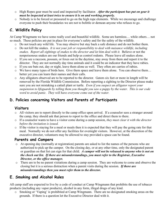- o High Ropes gear must be used and inspected by facilitator. *After the participant has put on gear it must be inspected at least twice to ensure it is on and working properly.*
- o Nobody is to be forced or pressured to go on the high rope elements. While we encourage and challenge everyone to push their boundaries we are not to belittle or demean anyone who refuses to go.

# **C. Wildlife Policy**

At Camp Wingmann we have some really cool and beautiful wildlife. Some are harmless… while others… not so much. These policies are put in place for everyone's safety and for the safety of the wildlife.

- o Do not touch any wild life. You may observe but stay back a safe distance and do not bother them.
- o Do not kill the snakes. *It is not your job or responsibility to deal with nuisance wildlife, including snakes. Report all sightings of snakes to the director and let him deal with it.* Believe or not the nonpoisonous snakes are our friends and help us control rodents. Please leave all snakes alone.
- o If you see a raccoon, possum, or foxes out in the daytime, stay away from them and report it to the director. They are not normally day time animals and it could be an indicator that they have rabies.
- o If you see bats out, day or night, leave them alone as well. They often are carries of rabies.
- o We have many types of birds here. Give them space and leave them alone. You can observe them… better yet you can learn their names and their calls.
- o Any alligators observed are to be reported to the director. Gators six feet or more in length will be removed by the Florida Wildlife Commission. Before reporting a sighting to the Director please make sure you are not mistaking a cattail plant or turtle. *Even if you suspect an alligator report your suspension to lifeguards by telling them you thought you saw a puppy by the water. This is our code word to avoid panic. They will have everyone come out of the water.*

# **D. Policies concerning Visitors and Parents of Participants**

# **Visitors**

- o All visitors are to report directly to the camp office upon arrival. If a counselor sees a stranger around the camp, they should ask that person to report to the office and direct them to there.
- o If a counselor wants to have a visitor come during a camp session, *they must clear it with the director before the invitation is issued.*
- $\circ$  If the visitor is staying for a meal or meals then it is expected that they will pay the going rate for that meal. Normally we do not offer any facilities for overnight visitors. However, at the discretion of the executive director, volunteers may be allowed to stay provided a space can be found.

# **Parents and Campers**

- o At opening day (normally at registration) parents are asked to list the names of the persons who are authorized to pick up the camper. On the closing day, or at any other time, only the designated parent or guardian on that list can sign for that child. *A camper will not be released to anyone who is not on the check out list. If there are misunderstandings, you must refer to the Registrar, Executive Director, or the office manager.*
- o There are to be no parent visitations during a camp session. They are welcome to come and observe the closing but it is a serious distraction when a parent visits during the session. *If there are misunderstandings then you must refer them to the director.*

# **E. Smoking and Alcohol Rules**

All camp staff are expected to live by a code of conduct at Camp Wingmann that prohibits the use of tobacco products (including any vapor products), alcohol in any form, illegal drugs of any kind.

o Smoking or 'Vaping' is prohibited at Camp Wingmann. There are no designated smoking areas on the grounds. If there is a question let the Executive Director deal with it.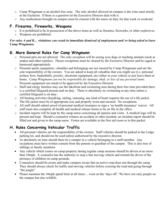- o Camp Wingmann is an alcohol free zone. The only alcohol allowed on campus is the wine used strictly at the Eucharist. If there is a question let the Executive Director deal with it.
- o Any medications brought on campus must be cleared with the nurse on duty for that week or weekend.

# **F. Firearms, Fireworks, Weapons**

- o It is prohibited to be in possession of the above items as well as firearms, fireworks, or other explosives.
- o Weapons are prohibited.

#### *For rules A and B… violations can result in immediate dismissal of employment and/ or being asked to leave Camp Wingmann.*

# **G. More General Rules for Camp Wingmann**

- o Personal pets are not allowed. The only exception will be seeing eyes dogs or teaching animals (such as snakes and other reptiles). Theses exceptions must be cleared by the Executive Director and be caged or harnessed appropriately.
- o Personal sports equipment, valuables and belongings are not insured by Camp Wingmann and are the sole responsibility of the owners. You are asked to keep all valuables that you might use (i.e. personal archery bow, basketballs, jewelry, electronic equipment, etc) either in your vehicle or just leave them at home. *Camp Wingmann can not be responsible for damage, theft, or loss of any personal items.*  Personal equipment use needs to be approved by the Executive Director.
- o Staff and clergy families may use the lakefront and swimming area during their free time provided there is a certified lifeguard present and on duty. There is absolutely no swimming at any time unless a certified lifeguard is on duty.
- o All boating activities (kayaking, sailing, canoeing, any kind of boat) requires the use of a life jacket. The life jacket must be of appropriate size and properly worn and secured. No exceptions.
- o All staff should submit proof of personal medical insurance or sign a 'no health insurance' waiver. All staff must also complete all health and medical release forms to be on file in the office.
- o Incident reports will be kept by the camp nurse concerning all injuries and visits. A medical loge will be present and kept. Should a counselor witness an accident or other incident, an incident report should be filled out and given to the camp nurse. Forms are available in the first aid room or in this packet.

# **H. Rules Concerning Vehicular Traffic**

- All personal vehicles are the responsibility of the owners. Staff vehicles should be parked in the Lodge parking lot, and should not be used unless authorized by the executive director.
- At absolutely no time should there be a camper in a vehicle belonging to a staff member. Any exceptions must have written consent from the parents or guardian of the camper. This is also true of siblings or family members.
- Any vehicle which comes on camp property during regular camp sessions should be driven at no more than 10mph. A counselor has the authority to stop a fast moving vehicle and remind the driver of the presence of children on camp grounds.
- Counselors should be aware and make campers aware that an active road does run through the camp. They should always check for traffic and moving vehicles before crossing the road and going through "the jungle".
- Please maintain the 10mph speed limit at all times… even on the 'days off'. We have not only people on the campus but also wildlife.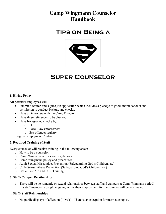# **Camp Wingmann Counselor Handbook**

# **Tips on Being a**



# **Super Counselor**

#### **1. Hiring Policy:**

All potential employees will

- Submit a written and signed job application which includes a pleadge of good, moral conduct and permission to conduct background checks.
- Have an interview with the Camp Director
- Have three references to be checked
- Have background checks by:
	- o FDLE
	- o Local Law enforcement
	- o Sex offender registry
- + Sign an emplyment Contract

#### **2. Required Training of Staff**

Every counselor will receive training in the following areas:

- o How to be a counselor
- o Camp Wingamann rules and regulations
- o Camp Wingmann policy and procedures
- o Adult Sexual Misconduct Prevention (Safeguarding God's Children, etc)
- o Chile Sexual Abuse Prevention (Safeguarding God's Children, etc)
- o Basic First Aid and CPR Training

#### **3. Staff- Camper Relationships**

o There will be no romantic or sexual relationships between staff and campers at Camp Winmann period! If a staff member is caught engaing in this their employment for the summer will be terminated.

#### **4. Staff- Staff Relationships**

o No public displays of affection (PDA's). There is an exception for married couples.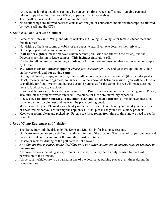- o Any relationship that develops can only be pursued on times when staff is off. Pursuing personal relationships takes the attention off the campers and on to yourselves.
- o There will be no sexual misconduct among the staff.
- o No relationships are allowed between counselors and junior counselors and no relationships are allowed between staff and the CIT's.

#### **5. Staff Week and Weekend Conduct**

- o Females will stay in A-Wing and Males will stay in C-Wing. B-Wing is for female kitchen staff and female nurses.
- o No visiting of halls or rooms or cabins of the opposite sex. Everyone deserves their privacy.
- o Dress approperly when you come into the rotunda.
- o **Staff under eighteen** must first have written parents permission (on file with the office), and the Director's permission to leave campus. **This includes Saturdays off.**
- o Curfew for all counselors, including Saturdays, is 11 p.m. We are insisting that everyone be on campus by 11 p.m.
- o **Wal Mart Runs and other shopping:** *Please plan accordingly*… try and go as groups and only shop on the weekends and **not during camp.**
- o During staff week, camps, and off days there will be no sneaking into the kitchen (this includes pantry closet, freezers, and refridgirators) for snacks. On the weekends between sessions, you will be told what is available for food. We try and budget our food purchases for the camps but we will make sure that there is food for you to snack on!
- o If you watch movies or play video games we ask no R-rated movies and no violent video games. Please, also, turn off the projector when finished… the bulbs for those are incredibly expensive.
- o **Please clean up after yourself and maintain clean and stocked bathrooms.** We do have guests that come to visit or to volunteer and we want the place looking good.
- o **Washer and Dryer:** Please do your laudry on the weekends. Do not leave your laundry in the washer or dryer, remember you are sharing the appliances. Also, please use your own laundry products.
- o Keep your rooms clean and picked up. Parents see these rooms from time to time and we need to set the example.

#### **6. Use of Camp Equipment and Vehicles**

- o The Tahoe may only be driven by Fr. Deke and Mrs. Sindy for insurance reasons.
- o Golf carts may be driven by staff only with permission of the director. They are not for personal use and may not be taken off campus. After use, they must be returned.
- o Unsafe or reckless driving of the golf carts is not allowed.
- o *Any damage that is caused to the Golf Cart or to any other equipment on campus must be reported to the director.*
- o All powered tools including saws, trimmers, mowers, blowers, etc can only be used by staff with permission of the director.
- o All personal vehicles are to be parked in one of the desginated parking places at all times during the camp sessions.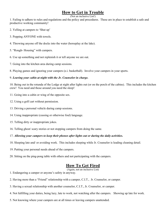# **How to Get in Trouble**

(Not an inclusive List!)

1. Failing to adhere to rules and regulations and the policy and procedures. These are in place to establish a safe and productive working community!

- 2. Yelling at campers to 'Shut up'
- 3. Popping ANYONE with towels.
- 4. Throwing anyone off the docks into the water (horseplay at the lake).
- 5. "Rough- Housing" with campers.
- 6. Use up something and not replenish it or tell anyone we are out.
- 7. Going into the kitchen area during camp sessions.
- 8. Playing games and ignoring your campers (e.i. basketball). Involve your campers in your sports.

#### 9. *Leaving your cabin at night with the Jr. Counselor in charge.*

10. Being out in the rotunda of the Lodge at night after lights out (or on the porch of the cabins). This includes the kitchen crew! You need and those around you need the sleep!

- 11. Going into a cabin or wing of the opposite sex.
- 12. Using a golf cart without permission.
- 13. Driving a personal vehicle during camp sessions.
- 14. Using inappropriate (cussing or otherwise foul) language.
- 15. Telling dirty or inappropriate jokes.
- 16. Telling ghost/ scary stories or not stopping campers from doing the same.

#### 17. *Allowing your campers to keep their phones after lights out or during the daily activities.*

- 18. Sleeping late and/ or avoiding work. This includes sleeping while Jr. Counselor is leading cleaning detail.
- 19. Putting your personal needs ahead of the campers.
- 20. Sitting on the ping-pong table with others and not participating with the campers.

# **How To Get Fired**

(Again, not an inclusive List)

- 1. Endangering a camper or anyone's safety in anyway.
- 2. Having more than a "Friend" relationship with a camper, C.I.T., Jr. Counselor, or camper.
- 3. Having a sexual relationship with another counselor, C.I.T., Jr. Counselor, or camper.
- 4. Not fulfilling your duties, being lazy, late to work, not watching after the campers. Showing up late for work.
- 5. Not knowing where your campers are at all times or leaving campers unattended.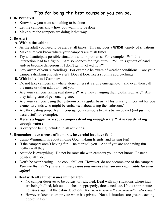# **Tips for being the best counselor you can be.**

# **1. Be Prepared**

- Know how you want something to be done.
- Let the campers know how you want it to be done.
- Make sure the campers are doing it that way.

## **2. Be Alert**

# **A. Within the cabin:**

- As the adult you need to be alert at all times. This includes a **WIDE** variety of situations.
- Make sure you know where your campers are at all times.
- Try and anticipate possible situations and/or problems. For example, 'Will this interaction lead to a fight?' 'Are someone's feelings hurt?' 'Will this get out of hand and/ or become dangerous if I don't get involved now?'
- Stay aware of your surrondings. For example be aware of weather conditions... are your campers drinking enough water? Does it look like a strom is approaching?

# **B. With individual Campers:**

- Do not take campers anywhere alone unless it's a dire emergency... and even then call the nurse or other adult to meet you.
- Are your campers taking real showers? Are they changing their cloths regularly? Are they taking care of personal hgiene?
- Are your campers using the restroom on a regular basis. (This is really important for you elementary kids who might be embarssed about using the bathroom.)
- Are they eating properly? Encourage your campers to eat a balanced diet (not just the desert stuff for example).
- **Here is a biggie: Are your campers drinking enough water? Are you drinking enough water?**
- Is everyone being included in all activities?

# **3. Remember have a sense of humor… be careful but have fun!**

- Camp Wingmann is about finding God, making friends, and having fun!
- If the campers aren't having fun... neither will you. And if you are not having fun... neither will they.
- Attitude is everything! Do not be sarcastic with campers you do not know. Foster a positvie attitude.
- Don't be over bearing... be cool, chill out! However, do not become one of the campers! *You are the adult- you are in charge and that means that you are responsible for their safety!*

# **4. Deal with all camper issues immediately**

- No camper deserves to be outcast or ridiculed. Deal with any situations where kids are being bullied, left out, touched inapproperly, threatened, etc. If it is approperate up issues again at the cabin devotions. *What does it mean to live in community under Christ?*
- However, keep issues private when it's private. Not all situations are group teaching opprotunities!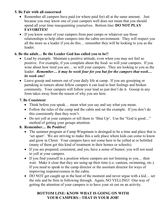# **5. Be Fair with all concerned**

- Remember all campers have paid (or where paid for) all at the same amount. Just because you may know one of your campers well does not mean that you should spend all your time reacquainting yourselves. Bottom line: **DO NOT PLAY FAVORITES!**
- If you know some of your campers from past camps or whatever use those relationships to help other campers into the cabin environment. They will respect you all the more as a leader if you do this… remember they will be looking to you as the leader.

# **6. Be the adult… Be the Leader God has called you to be!!**

- Lead by example. Maintain a positive attitude, even when you may not feel so positive. For example, if you complain about the food- so will your campers. If you wine about how tired you are… so will your campers. They are looking to you as the leader. *Remember… it may be week four for you but for the campers that week… its week one!*
- Leave gossip and rumors out of your daily life at camp. If you are gossiping or partaking in rumors about fellow campers it can lead to hurt feelings and broken community. Your campers will follow your lead so just don't do it. Gossip in any form takes away from the reason of why you are here.

# **7. Be Consistent**

- Think before you speak... mean what you say and say what you mean.
- Follow the rules of the camp and the cabin and set the example. If you don't do this consistently then they won't.
- Do not yell at your campers or tell them to 'Shut Up'. Use the "God is good..." method of getting your groups attention.

# **8. Remember… Be Positive!**

- The summer program at Camp Wingmann is desinged to be a time and place that is 'set apart'. We are striving to make this a safe place where kids can come to know and grow in Christ. Your campers have not come here to be yelled at or belittled (many of them get this kind of treatment in their homes or schools).
- If you are prepared, consistent, and yes, have a sense of humor, you will not need to yell at your campers.
- If you find yourself in a position where campers are not listening to you... then wait. Make it clear that they are using up their time (i.e. canteen, swimming, etc.). If you need to speak to the camp director or the assistant director for ways of improving responsivesness in the cabin.
- DO NOT get caught up in the heat of the moment and never argue with a kid... set the rule and be firm in following through. Again, NO YELLING! One way of getting the attention of your campers is to have your sit out on an activity.

# **BOTTOM LINE: KNOW WHAT IS GOING ON WITH YOUR CAMPERS—THAT IS YOUR JOB!**